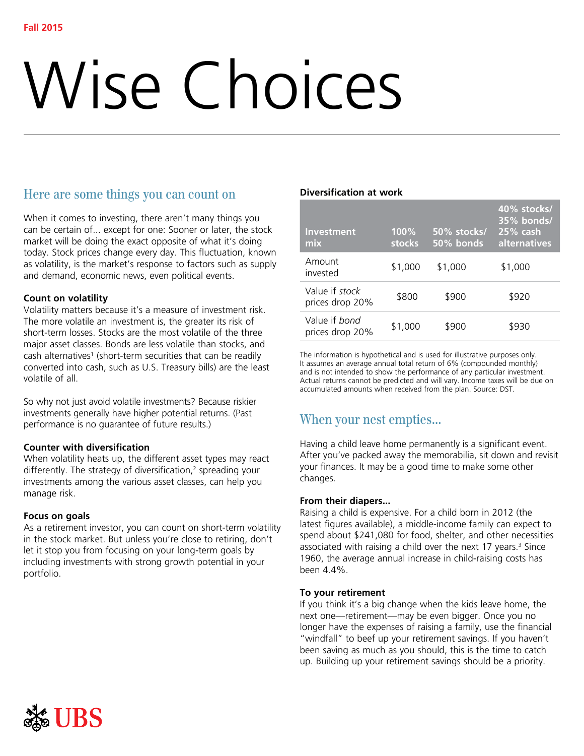# Wise Choices

# Here are some things you can count on

When it comes to investing, there aren't many things you can be certain of... except for one: Sooner or later, the stock market will be doing the exact opposite of what it's doing today. Stock prices change every day. This fluctuation, known as volatility, is the market's response to factors such as supply and demand, economic news, even political events.

# **Count on volatility**

Volatility matters because it's a measure of investment risk. The more volatile an investment is, the greater its risk of short-term losses. Stocks are the most volatile of the three major asset classes. Bonds are less volatile than stocks, and cash alternatives<sup>1</sup> (short-term securities that can be readily converted into cash, such as U.S. Treasury bills) are the least volatile of all.

So why not just avoid volatile investments? Because riskier investments generally have higher potential returns. (Past performance is no guarantee of future results.)

## **Counter with diversification**

When volatility heats up, the different asset types may react differently. The strategy of diversification,<sup>2</sup> spreading your investments among the various asset classes, can help you manage risk.

## **Focus on goals**

As a retirement investor, you can count on short-term volatility in the stock market. But unless you're close to retiring, don't let it stop you from focusing on your long-term goals by including investments with strong growth potential in your portfolio.

## **Diversification at work**

| <b>Investment</b><br>mix                 | 100%<br>stocks | 50% stocks/<br>50% bonds | 40% stocks/<br>35% bonds/<br>$125\%$ cash<br>alternatives |
|------------------------------------------|----------------|--------------------------|-----------------------------------------------------------|
| Amount<br>hetawni                        | \$1,000        | \$1,000                  | \$1,000                                                   |
| Value if <i>stock</i><br>prices drop 20% | \$800          | \$900                    | \$920                                                     |
| Value if bond<br>prices drop 20%         | \$1,000        | \$900                    | \$930                                                     |

The information is hypothetical and is used for illustrative purposes only. It assumes an average annual total return of 6% (compounded monthly) and is not intended to show the performance of any particular investment. Actual returns cannot be predicted and will vary. Income taxes will be due on accumulated amounts when received from the plan. Source: DST.

# When your nest empties...

Having a child leave home permanently is a significant event. After you've packed away the memorabilia, sit down and revisit your finances. It may be a good time to make some other changes.

## **From their diapers...**

Raising a child is expensive. For a child born in 2012 (the latest figures available), a middle-income family can expect to spend about \$241,080 for food, shelter, and other necessities associated with raising a child over the next 17 years.<sup>3</sup> Since 1960, the average annual increase in child-raising costs has been 4.4%.

## **To your retirement**

If you think it's a big change when the kids leave home, the next one—retirement—may be even bigger. Once you no longer have the expenses of raising a family, use the financial "windfall" to beef up your retirement savings. If you haven't been saving as much as you should, this is the time to catch up. Building up your retirement savings should be a priority.